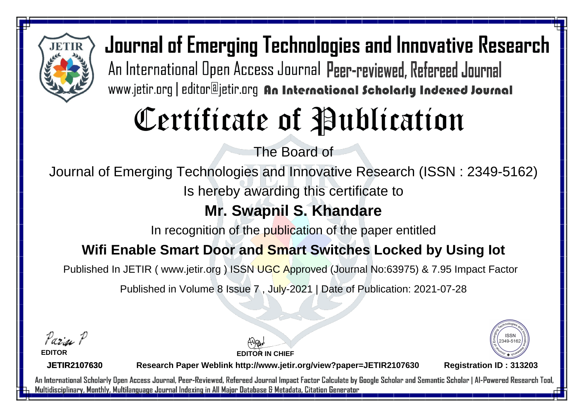

Journal of Emerging Technologies and Innovative Research An International Open Access Journal Peer-reviewed, Refereed Journal www.jetir.org | editor@jetir.org An International Scholarly Indexed Journal

# Certificate of Publication

The Board of

Journal of Emerging Technologies and Innovative Research (ISSN : 2349-5162)

Is hereby awarding this certificate to

## **Mr. Swapnil S. Khandare**

In recognition of the publication of the paper entitled

### **Wifi Enable Smart Door and Smart Switches Locked by Using Iot**

Published In JETIR ( www.jetir.org ) ISSN UGC Approved (Journal No: 63975) & 7.95 Impact Factor

Published in Volume 8 Issue 7 , July-2021 | Date of Publication: 2021-07-28

Parin P

**EDITOR**

**EDITOR IN CHIEF**



**JETIR2107630**

**Research Paper Weblink http://www.jetir.org/view?paper=JETIR2107630 Registration ID : 313203**

An International Scholarly Open Access Journal, Peer-Reviewed, Refereed Journal Impact Factor Calculate by Google Scholar and Semantic Scholar | Al-Powered Research Tool, Multidisciplinary, Monthly, Multilanguage Journal Indexing in All Major Database & Metadata, Citation Generator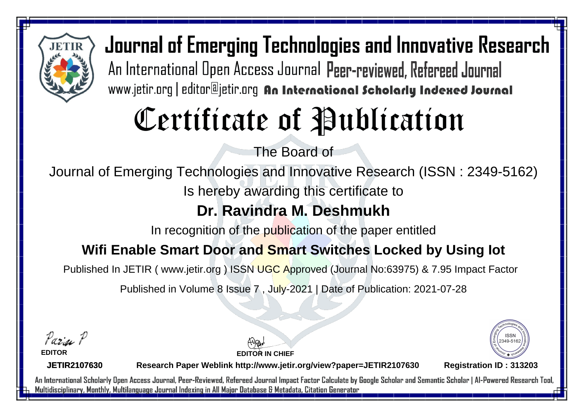

Journal of Emerging Technologies and Innovative Research An International Open Access Journal Peer-reviewed, Refereed Journal www.jetir.org | editor@jetir.org An International Scholarly Indexed Journal

# Certificate of Publication

The Board of

Journal of Emerging Technologies and Innovative Research (ISSN : 2349-5162)

Is hereby awarding this certificate to

### **Dr. Ravindra M. Deshmukh**

In recognition of the publication of the paper entitled

### **Wifi Enable Smart Door and Smart Switches Locked by Using Iot**

Published In JETIR ( www.jetir.org ) ISSN UGC Approved (Journal No: 63975) & 7.95 Impact Factor

Published in Volume 8 Issue 7 , July-2021 | Date of Publication: 2021-07-28

Parin P

**EDITOR**

**EDITOR IN CHIEF**



**JETIR2107630**

**Research Paper Weblink http://www.jetir.org/view?paper=JETIR2107630 Registration ID : 313203**

An International Scholarly Open Access Journal, Peer-Reviewed, Refereed Journal Impact Factor Calculate by Google Scholar and Semantic Scholar | Al-Powered Research Tool, Multidisciplinary, Monthly, Multilanguage Journal Indexing in All Major Database & Metadata, Citation Generator